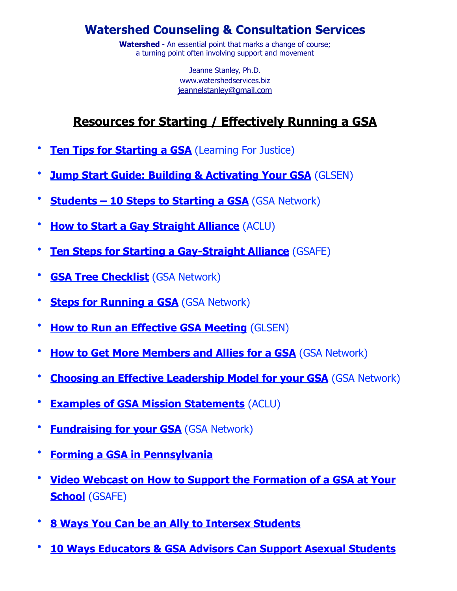#### **Watershed Counseling & Consultation Services**

**Watershed** - An essential point that marks a change of course; a turning point often involving support and movement

> Jeanne Stanley, Ph.D. www.watershedservices.biz jeannelstanley@gmail.com

### **Resources for Starting / Effectively Running a GSA**

- **[Ten Tips for Starting a GSA](http://www.tolerance.org/10-tips-GSA)** (Learning For Justice)
- **[Jump Start Guide: Building & Activating Your GSA](https://eqfl.org/sites/default/files/Jumpstart1.pdf)** (GLSEN)
- **[Students 10 Steps to Starting a GSA](https://gsanetwork.org/resources/building-your-gsa/10-steps-starting-gsa)** (GSA Network)
- **[How to Start a Gay Straight Alliance](https://www.aclu.org/other/how-start-gay-straight-alliance-gsa)** (ACLU)
- **[Ten Steps for Starting a Gay-Straight Alliance](https://gsafewi.org/resources/for-youth-gsas/building-your-gsa/10-steps-for-starting-a-gay-straight-alliance/)** (GSAFE)
- **[GSA Tree Checklist](https://gsanetwork.org/resources/gsa-tree-checklist/)** (GSA Network)
- **[Steps for Running a GSA](https://gsanetwork.org/resources/10-steps-for-starting-a-gsa/)** (GSA Network)
- **[How to Run an Effective GSA Meeting](https://www.glsen.org/activity/running-effective-meeting)** (GLSEN)
- **[How to Get More Members and Allies for a GSA](https://gsanetwork.org/resources/building-your-gsa/how-get-more-members-and-allies)** (GSA Network)
- **[Choosing an Effective Leadership Model for your GSA](https://gsanetwork.org/resources/building-your-gsa/gsa-leadership)** (GSA Network)
- **[Examples of GSA Mission Statements](https://www.aclu.org/other/gsa-mission-statement-examples?redirect=GSAmissions)** (ACLU)
- **[Fundraising for your GSA](https://gsanetwork.org/resources/building-your-gsa/fundraising-your-gsa)** (GSA Network)
- **[Forming a GSA in Pennsylvania](https://payouthcongress.org/at-school/forming-a-gsa/)**
- **[Video Webcast on How to Support the Formation of a GSA at Your](https://www.youtube.com/watch?v=Pf-Ml19Pqag&feature=youtu.be&ab_channel=WisconsinDPI-ResourcesfortheField)  [School](https://www.youtube.com/watch?v=Pf-Ml19Pqag&feature=youtu.be&ab_channel=WisconsinDPI-ResourcesfortheField)** (GSAFE)
- **[8 Ways You Can be an Ally to Intersex Students](https://www.glsen.org/blog/8-ways-you-can-be-ally-intersex-students)**
- **[10 Ways Educators & GSA Advisors Can Support Asexual Students](https://www.glsen.org/blog/10-ways-educators-and-gsa-advisors-can-support-asexual-students)**